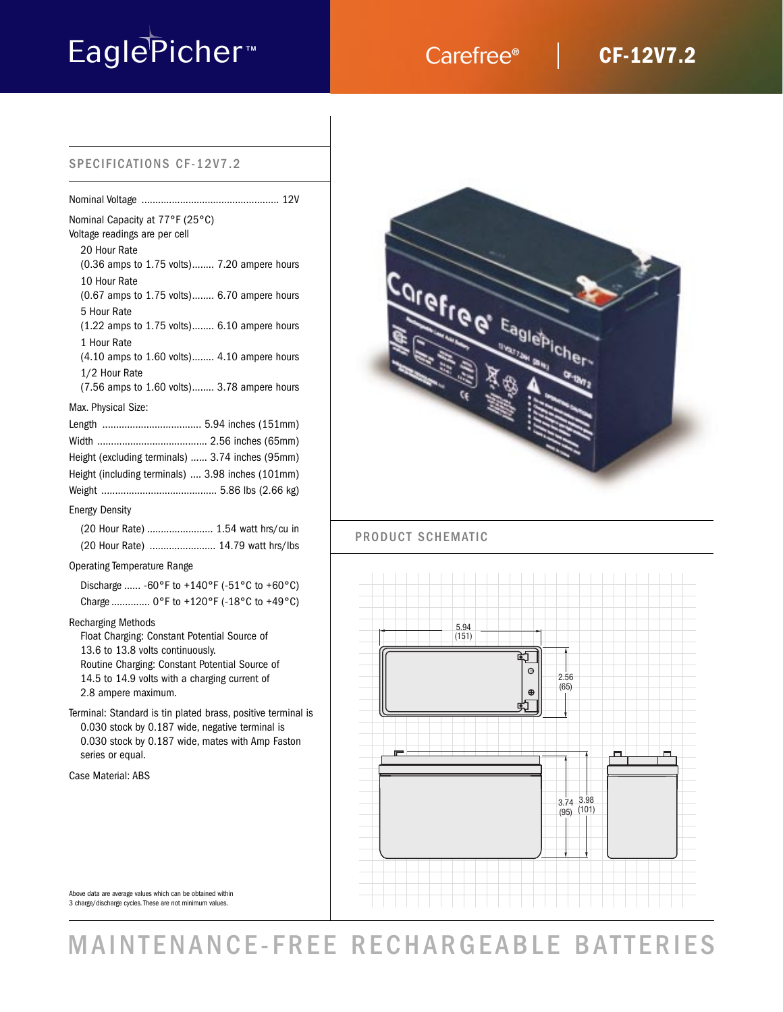# EaglePicher<sup>™</sup> Carefree®

## **CF-12V7.2**

## SPECIFICATIONS CF-12V7.2

| Nominal Capacity at 77°F (25°C)<br>Voltage readings are per cell |
|------------------------------------------------------------------|
| 20 Hour Rate                                                     |
| (0.36 amps to 1.75 volts) 7.20 ampere hours                      |
| 10 Hour Rate                                                     |
| $(0.67$ amps to $1.75$ volts) 6.70 ampere hours                  |
| 5 Hour Rate                                                      |
| $(1.22 \text{ amps to } 1.75 \text{ volts})$ 6.10 ampere hours   |
| 1 Hour Rate                                                      |
| (4.10 amps to 1.60 volts) 4.10 ampere hours                      |
| 1/2 Hour Rate                                                    |
| (7.56 amps to 1.60 volts) 3.78 ampere hours                      |
| Max. Physical Size:                                              |
|                                                                  |
|                                                                  |
| Height (excluding terminals)  3.74 inches (95mm)                 |
| Height (including terminals)  3.98 inches (101mm)                |
|                                                                  |
| <b>Energy Density</b>                                            |
| (20 Hour Rate)  1.54 watt hrs/cu in                              |
| (20 Hour Rate)  14.79 watt hrs/lbs                               |
|                                                                  |

## Operating Temperature Range

| Discharge  -60°F to +140°F (-51°C to +60°C)     |  |  |  |
|-------------------------------------------------|--|--|--|
| Charge $0^{\circ}$ F to +120°F (-18°C to +49°C) |  |  |  |

## Recharging Methods

Float Charging: Constant Potential Source of 13.6 to 13.8 volts continuously. Routine Charging: Constant Potential Source of 14.5 to 14.9 volts with a charging current of 2.8 ampere maximum.

Terminal: Standard is tin plated brass, positive terminal is 0.030 stock by 0.187 wide, negative terminal is 0.030 stock by 0.187 wide, mates with Amp Faston series or equal.

Case Material: ABS



## PRODUCT SCHEMATIC



Above data are average values which can be obtained within 3 charge/discharge cycles. These are not minimum values.

## MAINTENANCE-FREE RECHARGEABLE BATTERIES